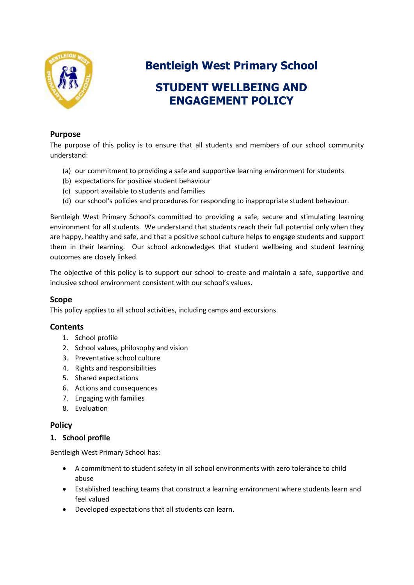

# **Bentleigh West Primary School**

# **STUDENT WELLBEING AND ENGAGEMENT POLICY**

#### **Purpose**

The purpose of this policy is to ensure that all students and members of our school community understand:

- (a) our commitment to providing a safe and supportive learning environment for students
- (b) expectations for positive student behaviour
- (c) support available to students and families
- (d) our school's policies and procedures for responding to inappropriate student behaviour.

Bentleigh West Primary School's committed to providing a safe, secure and stimulating learning environment for all students. We understand that students reach their full potential only when they are happy, healthy and safe, and that a positive school culture helps to engage students and support them in their learning. Our school acknowledges that student wellbeing and student learning outcomes are closely linked.

The objective of this policy is to support our school to create and maintain a safe, supportive and inclusive school environment consistent with our school's values.

# **Scope**

This policy applies to all school activities, including camps and excursions.

# **Contents**

- 1. School profile
- 2. School values, philosophy and vision
- 3. Preventative school culture
- 4. Rights and responsibilities
- 5. Shared expectations
- 6. Actions and consequences
- 7. Engaging with families
- 8. Evaluation

#### **Policy**

#### **1. School profile**

Bentleigh West Primary School has:

- A commitment to student safety in all school environments with zero tolerance to child abuse
- Established teaching teams that construct a learning environment where students learn and feel valued
- Developed expectations that all students can learn.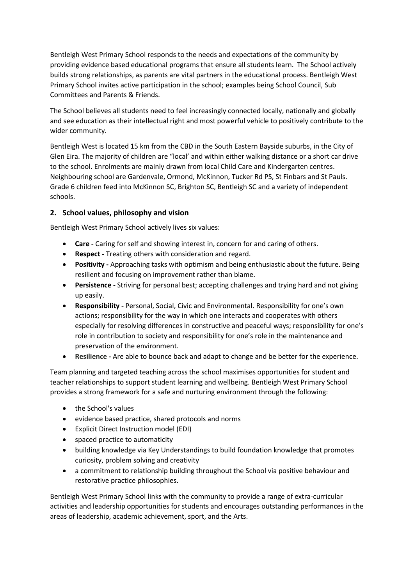Bentleigh West Primary School responds to the needs and expectations of the community by providing evidence based educational programs that ensure all students learn. The School actively builds strong relationships, as parents are vital partners in the educational process. Bentleigh West Primary School invites active participation in the school; examples being School Council, Sub Committees and Parents & Friends.

The School believes all students need to feel increasingly connected locally, nationally and globally and see education as their intellectual right and most powerful vehicle to positively contribute to the wider community.

Bentleigh West is located 15 km from the CBD in the South Eastern Bayside suburbs, in the City of Glen Eira. The majority of children are "local' and within either walking distance or a short car drive to the school. Enrolments are mainly drawn from local Child Care and Kindergarten centres. Neighbouring school are Gardenvale, Ormond, McKinnon, Tucker Rd PS, St Finbars and St Pauls. Grade 6 children feed into McKinnon SC, Brighton SC, Bentleigh SC and a variety of independent schools.

# **2. School values, philosophy and vision**

Bentleigh West Primary School actively lives six values:

- **Care -** Caring for self and showing interest in, concern for and caring of others.
- **Respect -** Treating others with consideration and regard.
- **Positivity -** Approaching tasks with optimism and being enthusiastic about the future. Being resilient and focusing on improvement rather than blame.
- **Persistence -** Striving for personal best; accepting challenges and trying hard and not giving up easily.
- **Responsibility -** Personal, Social, Civic and Environmental. Responsibility for one's own actions; responsibility for the way in which one interacts and cooperates with others especially for resolving differences in constructive and peaceful ways; responsibility for one's role in contribution to society and responsibility for one's role in the maintenance and preservation of the environment.
- **Resilience -** Are able to bounce back and adapt to change and be better for the experience.

Team planning and targeted teaching across the school maximises opportunities for student and teacher relationships to support student learning and wellbeing. Bentleigh West Primary School provides a strong framework for a safe and nurturing environment through the following:

- the School's values
- evidence based practice, shared protocols and norms
- Explicit Direct Instruction model (EDI)
- spaced practice to automaticity
- building knowledge via Key Understandings to build foundation knowledge that promotes curiosity, problem solving and creativity
- a commitment to relationship building throughout the School via positive behaviour and restorative practice philosophies.

Bentleigh West Primary School links with the community to provide a range of extra-curricular activities and leadership opportunities for students and encourages outstanding performances in the areas of leadership, academic achievement, sport, and the Arts.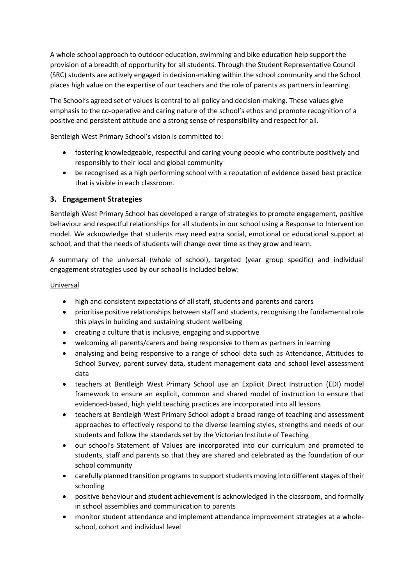A whole school approach to outdoor education, swimming and bike education help support the provision of a breadth of opportunity for all students. Through the Student Representative Council (SRC) students are actively engaged in decision-making within the school community and the School places high value on the expertise of our teachers and the role of parents as partners in learning.

The School's agreed set of values is central to all policy and decision-making. These values give emphasis to the co-operative and caring nature of the school's ethos and promote recognition of a positive and persistent attitude and a strong sense of responsibility and respect for all.

Bentleigh West Primary School's vision is committed to:

- fostering knowledgeable, respectful and caring young people who contribute positively and responsibly to their local and global community
- be recognised as a high performing school with a reputation of evidence based best practice that is visible in each classroom.

# **3. Engagement Strategies**

Bentleigh West Primary School has developed a range of strategies to promote engagement, positive behaviour and respectful relationships for all students in our school using a Response to Intervention model. We acknowledge that students may need extra social, emotional or educational support at school, and that the needs of students will change over time as they grow and learn.

A summary of the universal (whole of school), targeted (year group specific) and individual engagement strategies used by our school is included below:

#### Universal

- high and consistent expectations of all staff, students and parents and carers
- prioritise positive relationships between staff and students, recognising the fundamental role this plays in building and sustaining student wellbeing
- creating a culture that is inclusive, engaging and supportive
- welcoming all parents/carers and being responsive to them as partners in learning
- analysing and being responsive to a range of school data such as Attendance, Attitudes to School Survey, parent survey data, student management data and school level assessment data
- teachers at Bentleigh West Primary School use an Explicit Direct Instruction (EDI) model framework to ensure an explicit, common and shared model of instruction to ensure that evidenced-based, high yield teaching practices are incorporated into all lessons
- teachers at Bentleigh West Primary School adopt a broad range of teaching and assessment approaches to effectively respond to the diverse learning styles, strengths and needs of our students and follow the standards set by the Victorian Institute of Teaching
- our school's Statement of Values are incorporated into our curriculum and promoted to students, staff and parents so that they are shared and celebrated as the foundation of our school community
- carefully planned transition programs to support students moving into different stages of their schooling
- positive behaviour and student achievement is acknowledged in the classroom, and formally in school assemblies and communication to parents
- monitor student attendance and implement attendance improvement strategies at a wholeschool, cohort and individual level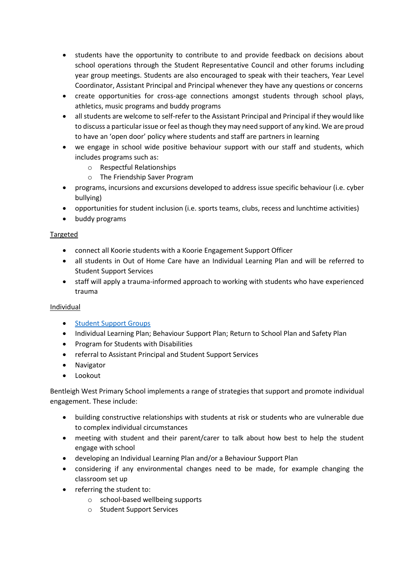- students have the opportunity to contribute to and provide feedback on decisions about school operations through the Student Representative Council and other forums including year group meetings. Students are also encouraged to speak with their teachers, Year Level Coordinator, Assistant Principal and Principal whenever they have any questions or concerns
- create opportunities for cross-age connections amongst students through school plays, athletics, music programs and buddy programs
- all students are welcome to self-refer to the Assistant Principal and Principal if they would like to discuss a particular issue or feel as though they may need support of any kind. We are proud to have an 'open door' policy where students and staff are partners in learning
- we engage in school wide positive behaviour support with our staff and students, which includes programs such as:
	- o Respectful Relationships
	- o The Friendship Saver Program
- programs, incursions and excursions developed to address issue specific behaviour (i.e. cyber bullying)
- opportunities for student inclusion (i.e. sports teams, clubs, recess and lunchtime activities)
- buddy programs

#### Targeted

- connect all Koorie students with a Koorie Engagement Support Officer
- all students in Out of Home Care have an Individual Learning Plan and will be referred to Student Support Services
- staff will apply a trauma-informed approach to working with students who have experienced trauma

#### Individual

- **•** [Student Support Groups](https://www2.education.vic.gov.au/pal/student-support-groups/policy)
- Individual Learning Plan; Behaviour Support Plan; Return to School Plan and Safety Plan
- **•** Program for Students with Disabilities
- referral to Assistant Principal and Student Support Services
- Navigator
- Lookout

Bentleigh West Primary School implements a range of strategies that support and promote individual engagement. These include:

- building constructive relationships with students at risk or students who are vulnerable due to complex individual circumstances
- meeting with student and their parent/carer to talk about how best to help the student engage with school
- developing an Individual Learning Plan and/or a Behaviour Support Plan
- considering if any environmental changes need to be made, for example changing the classroom set up
- referring the student to:
	- o school-based wellbeing supports
	- o Student Support Services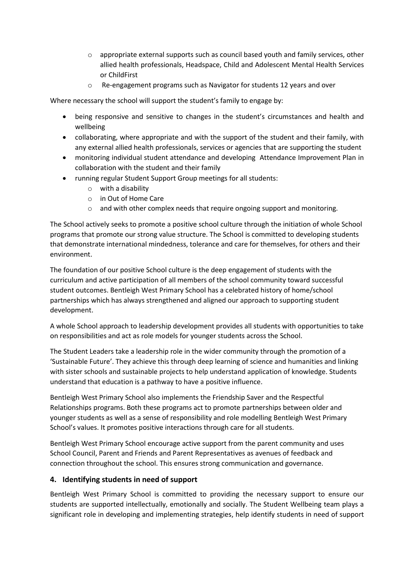- o appropriate external supports such as council based youth and family services, other allied health professionals, Headspace, Child and Adolescent Mental Health Services or ChildFirst
- o Re-engagement programs such as Navigator for students 12 years and over

Where necessary the school will support the student's family to engage by:

- being responsive and sensitive to changes in the student's circumstances and health and wellbeing
- collaborating, where appropriate and with the support of the student and their family, with any external allied health professionals, services or agencies that are supporting the student
- monitoring individual student attendance and developing Attendance Improvement Plan in collaboration with the student and their family
- running regular Student Support Group meetings for all students:
	- o with a disability
	- o in Out of Home Care
	- o and with other complex needs that require ongoing support and monitoring.

The School actively seeks to promote a positive school culture through the initiation of whole School programs that promote our strong value structure. The School is committed to developing students that demonstrate international mindedness, tolerance and care for themselves, for others and their environment.

The foundation of our positive School culture is the deep engagement of students with the curriculum and active participation of all members of the school community toward successful student outcomes. Bentleigh West Primary School has a celebrated history of home/school partnerships which has always strengthened and aligned our approach to supporting student development.

A whole School approach to leadership development provides all students with opportunities to take on responsibilities and act as role models for younger students across the School.

The Student Leaders take a leadership role in the wider community through the promotion of a 'Sustainable Future'. They achieve this through deep learning of science and humanities and linking with sister schools and sustainable projects to help understand application of knowledge. Students understand that education is a pathway to have a positive influence.

Bentleigh West Primary School also implements the Friendship Saver and the Respectful Relationships programs. Both these programs act to promote partnerships between older and younger students as well as a sense of responsibility and role modelling Bentleigh West Primary School's values. It promotes positive interactions through care for all students.

Bentleigh West Primary School encourage active support from the parent community and uses School Council, Parent and Friends and Parent Representatives as avenues of feedback and connection throughout the school. This ensures strong communication and governance.

# **4. Identifying students in need of support**

Bentleigh West Primary School is committed to providing the necessary support to ensure our students are supported intellectually, emotionally and socially. The Student Wellbeing team plays a significant role in developing and implementing strategies, help identify students in need of support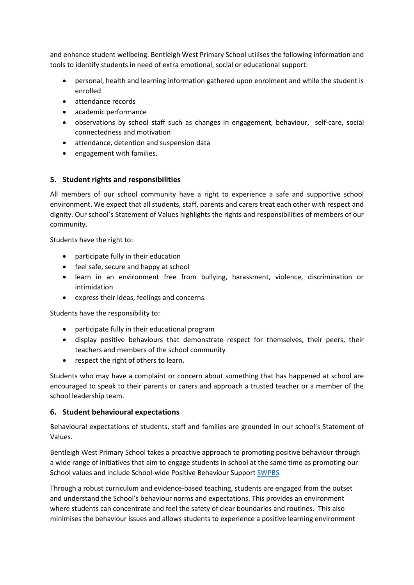and enhance student wellbeing. Bentleigh West Primary School utilises the following information and tools to identify students in need of extra emotional, social or educational support:

- personal, health and learning information gathered upon enrolment and while the student is enrolled
- attendance records
- academic performance
- observations by school staff such as changes in engagement, behaviour, self-care, social connectedness and motivation
- attendance, detention and suspension data
- engagement with families.

#### **5. Student rights and responsibilities**

All members of our school community have a right to experience a safe and supportive school environment. We expect that all students, staff, parents and carers treat each other with respect and dignity. Our school's Statement of Values highlights the rights and responsibilities of members of our community.

Students have the right to:

- participate fully in their education
- feel safe, secure and happy at school
- learn in an environment free from bullying, harassment, violence, discrimination or intimidation
- express their ideas, feelings and concerns.

Students have the responsibility to:

- participate fully in their educational program
- display positive behaviours that demonstrate respect for themselves, their peers, their teachers and members of the school community
- respect the right of others to learn.

Students who may have a complaint or concern about something that has happened at school are encouraged to speak to their parents or carers and approach a trusted teacher or a member of the school leadership team.

#### **6. Student behavioural expectations**

Behavioural expectations of students, staff and families are grounded in our school's Statement of Values.

Bentleigh West Primary School takes a proactive approach to promoting positive behaviour through a wide range of initiatives that aim to engage students in school at the same time as promoting our School values and include School-wide Positive Behaviour Support [SWPBS](https://www2.education.vic.gov.au/pal/behaviour-students/guidance/5-school-wide-positive-behaviour-support-swpbs-framework)

Through a robust curriculum and evidence-based teaching, students are engaged from the outset and understand the School's behaviour norms and expectations. This provides an environment where students can concentrate and feel the safety of clear boundaries and routines. This also minimises the behaviour issues and allows students to experience a positive learning environment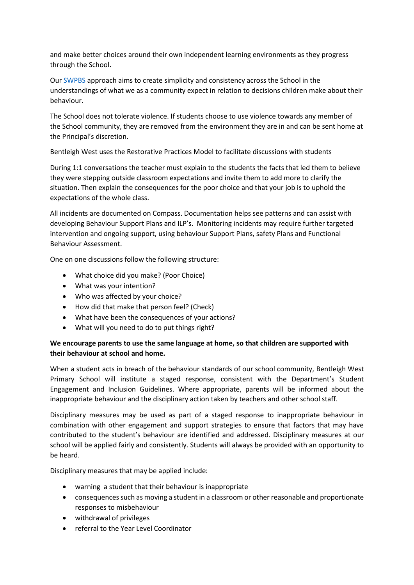and make better choices around their own independent learning environments as they progress through the School.

Our [SWPBS](https://www2.education.vic.gov.au/pal/behaviour-students/guidance/5-school-wide-positive-behaviour-support-swpbs-framework) approach aims to create simplicity and consistency across the School in the understandings of what we as a community expect in relation to decisions children make about their behaviour.

The School does not tolerate violence. If students choose to use violence towards any member of the School community, they are removed from the environment they are in and can be sent home at the Principal's discretion.

Bentleigh West uses the Restorative Practices Model to facilitate discussions with students

During 1:1 conversations the teacher must explain to the students the facts that led them to believe they were stepping outside classroom expectations and invite them to add more to clarify the situation. Then explain the consequences for the poor choice and that your job is to uphold the expectations of the whole class.

All incidents are documented on Compass. Documentation helps see patterns and can assist with developing Behaviour Support Plans and ILP's. Monitoring incidents may require further targeted intervention and ongoing support, using behaviour Support Plans, safety Plans and Functional Behaviour Assessment.

One on one discussions follow the following structure:

- What choice did you make? (Poor Choice)
- What was your intention?
- Who was affected by your choice?
- How did that make that person feel? (Check)
- What have been the consequences of your actions?
- What will you need to do to put things right?

#### **We encourage parents to use the same language at home, so that children are supported with their behaviour at school and home.**

When a student acts in breach of the behaviour standards of our school community, Bentleigh West Primary School will institute a staged response, consistent with the Department's Student Engagement and Inclusion Guidelines. Where appropriate, parents will be informed about the inappropriate behaviour and the disciplinary action taken by teachers and other school staff.

Disciplinary measures may be used as part of a staged response to inappropriate behaviour in combination with other engagement and support strategies to ensure that factors that may have contributed to the student's behaviour are identified and addressed. Disciplinary measures at our school will be applied fairly and consistently. Students will always be provided with an opportunity to be heard.

Disciplinary measures that may be applied include:

- warning a student that their behaviour is inappropriate
- consequences such as moving a student in a classroom or other reasonable and proportionate responses to misbehaviour
- withdrawal of privileges
- referral to the Year Level Coordinator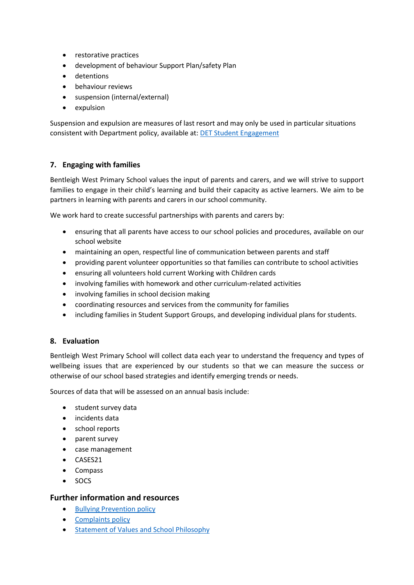- restorative practices
- development of behaviour Support Plan/safety Plan
- **•** detentions
- **•** behaviour reviews
- suspension (internal/external)
- expulsion

Suspension and expulsion are measures of last resort and may only be used in particular situations consistent with Department policy, available at: [DET Student Engagement](https://www2.education.vic.gov.au/pal/student-engagement/policy)

#### **7. Engaging with families**

Bentleigh West Primary School values the input of parents and carers, and we will strive to support families to engage in their child's learning and build their capacity as active learners. We aim to be partners in learning with parents and carers in our school community.

We work hard to create successful partnerships with parents and carers by:

- ensuring that all parents have access to our school policies and procedures, available on our school website
- maintaining an open, respectful line of communication between parents and staff
- providing parent volunteer opportunities so that families can contribute to school activities
- ensuring all volunteers hold current Working with Children cards
- involving families with homework and other curriculum-related activities
- involving families in school decision making
- coordinating resources and services from the community for families
- including families in Student Support Groups, and developing individual plans for students.

#### **8. Evaluation**

Bentleigh West Primary School will collect data each year to understand the frequency and types of wellbeing issues that are experienced by our students so that we can measure the success or otherwise of our school based strategies and identify emerging trends or needs.

Sources of data that will be assessed on an annual basis include:

- **•** student survey data
- incidents data
- school reports
- parent survey
- case management
- CASES21
- Compass
- SOCS

#### **Further information and resources**

- **•** [Bullying Prevention policy](https://www.bentleighwestps.vic.edu.au/our-policies)
- [Complaints policy](https://www.bentleighwestps.vic.edu.au/our-policies)
- **•** [Statement of Values and School Philosophy](https://www.bentleighwestps.vic.edu.au/our-policies)